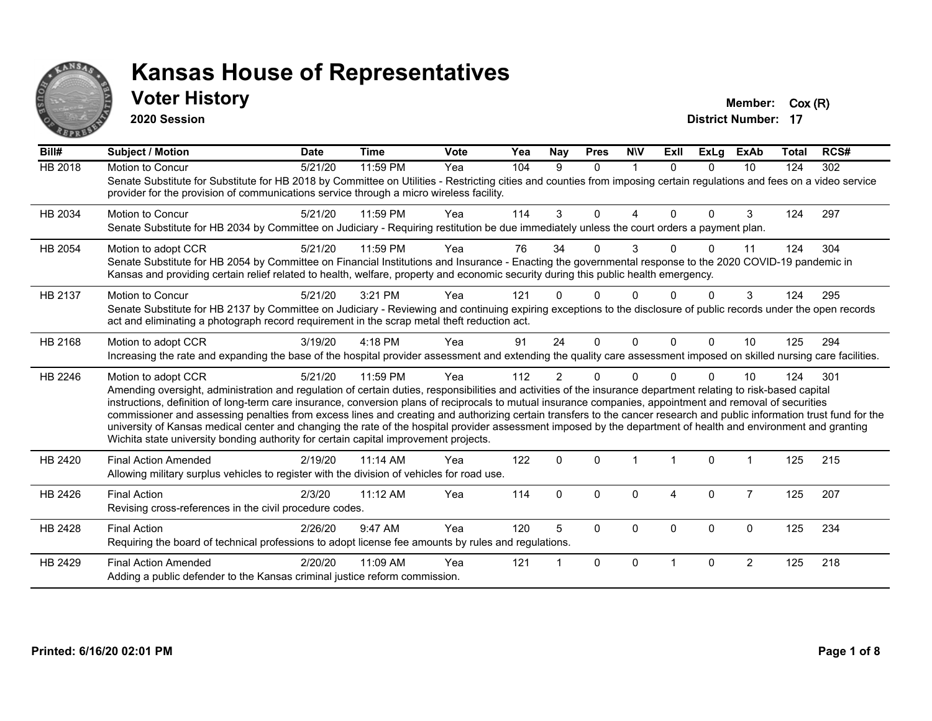

#### **Voter History Member:**  $Cox(R)$

**2020 Session**

| Bill#          | <b>Subject / Motion</b>                                                                                                                                                                                                                                                                                                                                                                                                                                                                                                                                                                                                                                                                                                                                                                  | <b>Date</b> | <b>Time</b> | Vote | Yea | Nay            | <b>Pres</b> | <b>NIV</b>   | ExII                   | <b>ExLg</b> | <b>ExAb</b>    | Total | RCS# |
|----------------|------------------------------------------------------------------------------------------------------------------------------------------------------------------------------------------------------------------------------------------------------------------------------------------------------------------------------------------------------------------------------------------------------------------------------------------------------------------------------------------------------------------------------------------------------------------------------------------------------------------------------------------------------------------------------------------------------------------------------------------------------------------------------------------|-------------|-------------|------|-----|----------------|-------------|--------------|------------------------|-------------|----------------|-------|------|
| <b>HB 2018</b> | Motion to Concur<br>Senate Substitute for Substitute for HB 2018 by Committee on Utilities - Restricting cities and counties from imposing certain regulations and fees on a video service<br>provider for the provision of communications service through a micro wireless facility.                                                                                                                                                                                                                                                                                                                                                                                                                                                                                                    | 5/21/20     | 11:59 PM    | Yea  | 104 | 9              | $\Omega$    | -1           | $\Omega$               | $\Omega$    | 10             | 124   | 302  |
| HB 2034        | <b>Motion to Concur</b><br>Senate Substitute for HB 2034 by Committee on Judiciary - Requiring restitution be due immediately unless the court orders a payment plan.                                                                                                                                                                                                                                                                                                                                                                                                                                                                                                                                                                                                                    | 5/21/20     | 11:59 PM    | Yea  | 114 | 3              | $\Omega$    | 4            | $\Omega$               | $\Omega$    | 3              | 124   | 297  |
| HB 2054        | Motion to adopt CCR<br>Senate Substitute for HB 2054 by Committee on Financial Institutions and Insurance - Enacting the governmental response to the 2020 COVID-19 pandemic in<br>Kansas and providing certain relief related to health, welfare, property and economic security during this public health emergency.                                                                                                                                                                                                                                                                                                                                                                                                                                                                   | 5/21/20     | 11:59 PM    | Yea  | 76  | 34             | 0           | 3            | U                      | $\Omega$    | 11             | 124   | 304  |
| HB 2137        | Motion to Concur<br>Senate Substitute for HB 2137 by Committee on Judiciary - Reviewing and continuing expiring exceptions to the disclosure of public records under the open records<br>act and eliminating a photograph record requirement in the scrap metal theft reduction act.                                                                                                                                                                                                                                                                                                                                                                                                                                                                                                     | 5/21/20     | 3:21 PM     | Yea  | 121 | U              | 0           | ∩            |                        | 0           | 3              | 124   | 295  |
| HB 2168        | Motion to adopt CCR<br>Increasing the rate and expanding the base of the hospital provider assessment and extending the quality care assessment imposed on skilled nursing care facilities.                                                                                                                                                                                                                                                                                                                                                                                                                                                                                                                                                                                              | 3/19/20     | 4:18 PM     | Yea  | 91  | 24             | $\Omega$    | $\Omega$     | $\Omega$               | $\Omega$    | 10             | 125   | 294  |
| HB 2246        | Motion to adopt CCR<br>Amending oversight, administration and regulation of certain duties, responsibilities and activities of the insurance department relating to risk-based capital<br>instructions, definition of long-term care insurance, conversion plans of reciprocals to mutual insurance companies, appointment and removal of securities<br>commissioner and assessing penalties from excess lines and creating and authorizing certain transfers to the cancer research and public information trust fund for the<br>university of Kansas medical center and changing the rate of the hospital provider assessment imposed by the department of health and environment and granting<br>Wichita state university bonding authority for certain capital improvement projects. | 5/21/20     | 11:59 PM    | Yea  | 112 | $\overline{2}$ | 0           | <sup>n</sup> |                        | 0           | 10             | 124   | 301  |
| HB 2420        | <b>Final Action Amended</b><br>Allowing military surplus vehicles to register with the division of vehicles for road use.                                                                                                                                                                                                                                                                                                                                                                                                                                                                                                                                                                                                                                                                | 2/19/20     | 11:14 AM    | Yea  | 122 | $\Omega$       | $\Omega$    |              |                        | $\Omega$    |                | 125   | 215  |
| HB 2426        | <b>Final Action</b><br>Revising cross-references in the civil procedure codes.                                                                                                                                                                                                                                                                                                                                                                                                                                                                                                                                                                                                                                                                                                           | 2/3/20      | 11:12 AM    | Yea  | 114 | $\Omega$       | $\Omega$    | $\Omega$     | $\boldsymbol{\Lambda}$ | $\Omega$    | $\overline{7}$ | 125   | 207  |
| HB 2428        | <b>Final Action</b><br>Requiring the board of technical professions to adopt license fee amounts by rules and regulations.                                                                                                                                                                                                                                                                                                                                                                                                                                                                                                                                                                                                                                                               | 2/26/20     | 9:47 AM     | Yea  | 120 | 5              | $\Omega$    | $\Omega$     | $\Omega$               | 0           | 0              | 125   | 234  |
| HB 2429        | <b>Final Action Amended</b><br>Adding a public defender to the Kansas criminal justice reform commission.                                                                                                                                                                                                                                                                                                                                                                                                                                                                                                                                                                                                                                                                                | 2/20/20     | 11:09 AM    | Yea  | 121 |                | $\Omega$    | $\Omega$     |                        | $\Omega$    | $\overline{2}$ | 125   | 218  |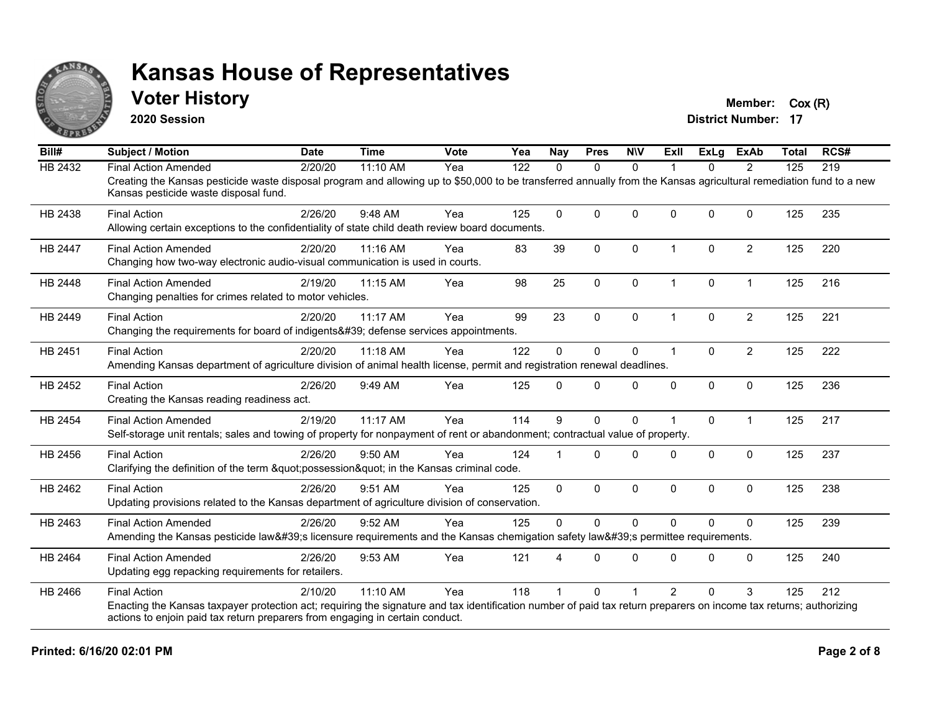

#### **Voter History Member:** Cox (R)

**2020 Session**

| Bill#          | <b>Subject / Motion</b>                                                                                                                                                                                     | <b>Date</b> | <b>Time</b> | Vote | Yea | <b>Nay</b>   | <b>Pres</b>  | <b>NIV</b>   | ExIl                 | <b>ExLg</b> | <b>ExAb</b>    | <b>Total</b> | RCS# |
|----------------|-------------------------------------------------------------------------------------------------------------------------------------------------------------------------------------------------------------|-------------|-------------|------|-----|--------------|--------------|--------------|----------------------|-------------|----------------|--------------|------|
| <b>HB 2432</b> | <b>Final Action Amended</b>                                                                                                                                                                                 | 2/20/20     | 11:10 AM    | Yea  | 122 | 0            | $\mathbf{0}$ | $\Omega$     |                      | 0           | 2              | 125          | 219  |
|                | Creating the Kansas pesticide waste disposal program and allowing up to \$50,000 to be transferred annually from the Kansas agricultural remediation fund to a new<br>Kansas pesticide waste disposal fund. |             |             |      |     |              |              |              |                      |             |                |              |      |
| HB 2438        | <b>Final Action</b>                                                                                                                                                                                         | 2/26/20     | 9:48 AM     | Yea  | 125 | $\Omega$     | $\Omega$     | $\Omega$     | $\Omega$             | $\Omega$    | $\mathbf{0}$   | 125          | 235  |
|                | Allowing certain exceptions to the confidentiality of state child death review board documents.                                                                                                             |             |             |      |     |              |              |              |                      |             |                |              |      |
| <b>HB 2447</b> | <b>Final Action Amended</b>                                                                                                                                                                                 | 2/20/20     | 11:16 AM    | Yea  | 83  | 39           | $\mathbf{0}$ | $\Omega$     | $\mathbf 1$          | $\Omega$    | $\overline{2}$ | 125          | 220  |
|                | Changing how two-way electronic audio-visual communication is used in courts.                                                                                                                               |             |             |      |     |              |              |              |                      |             |                |              |      |
| HB 2448        | <b>Final Action Amended</b>                                                                                                                                                                                 | 2/19/20     | 11:15 AM    | Yea  | 98  | 25           | $\pmb{0}$    | $\mathbf 0$  | $\mathbf{1}$         | 0           | $\mathbf{1}$   | 125          | 216  |
|                | Changing penalties for crimes related to motor vehicles.                                                                                                                                                    |             |             |      |     |              |              |              |                      |             |                |              |      |
| HB 2449        | <b>Final Action</b>                                                                                                                                                                                         | 2/20/20     | 11:17 AM    | Yea  | 99  | 23           | $\mathbf{0}$ | $\Omega$     | 1                    | $\Omega$    | $\overline{2}$ | 125          | 221  |
|                | Changing the requirements for board of indigents' defense services appointments.                                                                                                                            |             |             |      |     |              |              |              |                      |             |                |              |      |
| HB 2451        | <b>Final Action</b>                                                                                                                                                                                         | 2/20/20     | 11:18 AM    | Yea  | 122 | $\Omega$     | $\mathbf{0}$ | $\Omega$     | $\blacktriangleleft$ | $\Omega$    | $\overline{2}$ | 125          | 222  |
|                | Amending Kansas department of agriculture division of animal health license, permit and registration renewal deadlines.                                                                                     |             |             |      |     |              |              |              |                      |             |                |              |      |
| HB 2452        | <b>Final Action</b>                                                                                                                                                                                         | 2/26/20     | 9:49 AM     | Yea  | 125 | $\Omega$     | $\mathbf{0}$ | $\mathbf 0$  | $\mathbf{0}$         | 0           | $\mathbf 0$    | 125          | 236  |
|                | Creating the Kansas reading readiness act.                                                                                                                                                                  |             |             |      |     |              |              |              |                      |             |                |              |      |
| <b>HB 2454</b> | <b>Final Action Amended</b>                                                                                                                                                                                 | 2/19/20     | 11:17 AM    | Yea  | 114 | 9            | $\mathbf{0}$ | $\Omega$     |                      | $\Omega$    | $\mathbf 1$    | 125          | 217  |
|                | Self-storage unit rentals; sales and towing of property for nonpayment of rent or abandonment; contractual value of property.                                                                               |             |             |      |     |              |              |              |                      |             |                |              |      |
| HB 2456        | <b>Final Action</b>                                                                                                                                                                                         | 2/26/20     | 9:50 AM     | Yea  | 124 |              | $\Omega$     | $\Omega$     | $\Omega$             | $\Omega$    | $\mathbf{0}$   | 125          | 237  |
|                | Clarifying the definition of the term "possession" in the Kansas criminal code.                                                                                                                             |             |             |      |     |              |              |              |                      |             |                |              |      |
| HB 2462        | <b>Final Action</b>                                                                                                                                                                                         | 2/26/20     | 9:51 AM     | Yea  | 125 | $\mathbf{0}$ | $\mathbf 0$  | $\Omega$     | $\mathbf{0}$         | $\Omega$    | $\mathbf{0}$   | 125          | 238  |
|                | Updating provisions related to the Kansas department of agriculture division of conservation.                                                                                                               |             |             |      |     |              |              |              |                      |             |                |              |      |
| HB 2463        | <b>Final Action Amended</b>                                                                                                                                                                                 | 2/26/20     | 9:52 AM     | Yea  | 125 | $\mathbf{0}$ | $\Omega$     | $\mathbf{0}$ | $\Omega$             | $\Omega$    | $\mathbf{0}$   | 125          | 239  |
|                | Amending the Kansas pesticide law's licensure requirements and the Kansas chemigation safety law's permittee requirements.                                                                                  |             |             |      |     |              |              |              |                      |             |                |              |      |
| HB 2464        | <b>Final Action Amended</b>                                                                                                                                                                                 | 2/26/20     | 9:53 AM     | Yea  | 121 |              | $\Omega$     | $\Omega$     | <sup>0</sup>         | $\Omega$    | $\mathbf{0}$   | 125          | 240  |
|                | Updating egg repacking requirements for retailers.                                                                                                                                                          |             |             |      |     |              |              |              |                      |             |                |              |      |
| HB 2466        | <b>Final Action</b>                                                                                                                                                                                         | 2/10/20     | 11:10 AM    | Yea  | 118 |              | $\Omega$     |              | $\mathcal{P}$        | 0           | 3              | 125          | 212  |
|                | Enacting the Kansas taxpayer protection act; requiring the signature and tax identification number of paid tax return preparers on income tax returns; authorizing                                          |             |             |      |     |              |              |              |                      |             |                |              |      |
|                | actions to enjoin paid tax return preparers from engaging in certain conduct.                                                                                                                               |             |             |      |     |              |              |              |                      |             |                |              |      |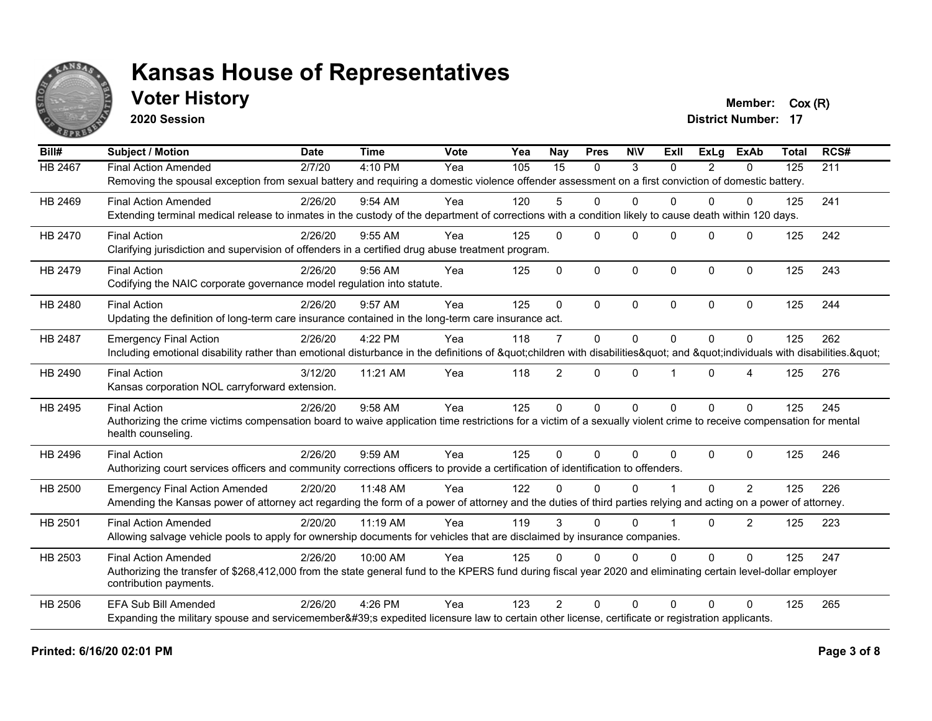

#### **Voter History Member:**  $Cox(R)$

**2020 Session**

| Bill#          | <b>Subject / Motion</b>                                                                                                                                                                 | <b>Date</b> | <b>Time</b> | Vote | Yea | Nay             | <b>Pres</b> | <b>NIV</b>   | <b>Exll</b> | <b>ExLg</b>  | <b>ExAb</b>    | <b>Total</b> | RCS# |
|----------------|-----------------------------------------------------------------------------------------------------------------------------------------------------------------------------------------|-------------|-------------|------|-----|-----------------|-------------|--------------|-------------|--------------|----------------|--------------|------|
| <b>HB 2467</b> | <b>Final Action Amended</b>                                                                                                                                                             | 2/7/20      | 4:10 PM     | Yea  | 105 | $\overline{15}$ | $\Omega$    | 3            | $\Omega$    | 2            | 0              | 125          | 211  |
|                | Removing the spousal exception from sexual battery and requiring a domestic violence offender assessment on a first conviction of domestic battery.                                     |             |             |      |     |                 |             |              |             |              |                |              |      |
| HB 2469        | <b>Final Action Amended</b>                                                                                                                                                             | 2/26/20     | 9:54 AM     | Yea  | 120 | 5               | $\Omega$    | $\Omega$     | 0           | 0            | 0              | 125          | 241  |
|                | Extending terminal medical release to inmates in the custody of the department of corrections with a condition likely to cause death within 120 days.                                   |             |             |      |     |                 |             |              |             |              |                |              |      |
| HB 2470        | <b>Final Action</b>                                                                                                                                                                     | 2/26/20     | 9:55 AM     | Yea  | 125 | $\mathbf{0}$    | $\Omega$    | $\mathbf{0}$ | $\Omega$    | $\mathbf{0}$ | $\Omega$       | 125          | 242  |
|                | Clarifying jurisdiction and supervision of offenders in a certified drug abuse treatment program.                                                                                       |             |             |      |     |                 |             |              |             |              |                |              |      |
| HB 2479        | <b>Final Action</b>                                                                                                                                                                     | 2/26/20     | $9:56$ AM   | Yea  | 125 | $\Omega$        | $\Omega$    | $\mathbf{0}$ | $\Omega$    | $\Omega$     | $\Omega$       | 125          | 243  |
|                | Codifying the NAIC corporate governance model regulation into statute.                                                                                                                  |             |             |      |     |                 |             |              |             |              |                |              |      |
| HB 2480        | <b>Final Action</b>                                                                                                                                                                     | 2/26/20     | 9:57 AM     | Yea  | 125 | $\Omega$        | $\Omega$    | $\mathbf{0}$ | $\Omega$    | $\Omega$     | $\Omega$       | 125          | 244  |
|                | Updating the definition of long-term care insurance contained in the long-term care insurance act.                                                                                      |             |             |      |     |                 |             |              |             |              |                |              |      |
| HB 2487        | <b>Emergency Final Action</b>                                                                                                                                                           | 2/26/20     | 4:22 PM     | Yea  | 118 | $\overline{7}$  | $\Omega$    | $\Omega$     | $\Omega$    | $\mathbf{0}$ | 0              | 125          | 262  |
|                | Including emotional disability rather than emotional disturbance in the definitions of "children with disabilities " and "individuals with disabilities. "                              |             |             |      |     |                 |             |              |             |              |                |              |      |
| HB 2490        | <b>Final Action</b>                                                                                                                                                                     | 3/12/20     | 11:21 AM    | Yea  | 118 | $\overline{2}$  | $\Omega$    | $\mathbf 0$  |             | $\Omega$     | 4              | 125          | 276  |
|                | Kansas corporation NOL carryforward extension.                                                                                                                                          |             |             |      |     |                 |             |              |             |              |                |              |      |
| HB 2495        | <b>Final Action</b>                                                                                                                                                                     | 2/26/20     | 9:58 AM     | Yea  | 125 | $\mathbf 0$     | $\Omega$    | $\mathbf 0$  | $\Omega$    | $\Omega$     | $\Omega$       | 125          | 245  |
|                | Authorizing the crime victims compensation board to waive application time restrictions for a victim of a sexually violent crime to receive compensation for mental                     |             |             |      |     |                 |             |              |             |              |                |              |      |
|                | health counseling.                                                                                                                                                                      |             |             |      |     |                 |             |              |             |              |                |              |      |
| HB 2496        | <b>Final Action</b>                                                                                                                                                                     | 2/26/20     | 9:59 AM     | Yea  | 125 | $\Omega$        | $\Omega$    | $\mathbf{0}$ | $\Omega$    | $\Omega$     | $\Omega$       | 125          | 246  |
|                | Authorizing court services officers and community corrections officers to provide a certification of identification to offenders.                                                       |             |             |      |     |                 |             |              |             |              |                |              |      |
| HB 2500        | <b>Emergency Final Action Amended</b>                                                                                                                                                   | 2/20/20     | 11:48 AM    | Yea  | 122 | <sup>0</sup>    | $\Omega$    | $\Omega$     |             | 0            | $\overline{2}$ | 125          | 226  |
|                | Amending the Kansas power of attorney act regarding the form of a power of attorney and the duties of third parties relying and acting on a power of attorney.                          |             |             |      |     |                 |             |              |             |              |                |              |      |
| HB 2501        | <b>Final Action Amended</b>                                                                                                                                                             | 2/20/20     | 11:19 AM    | Yea  | 119 | 3               | $\Omega$    | $\mathbf{0}$ |             | $\Omega$     | 2              | 125          | 223  |
|                | Allowing salvage vehicle pools to apply for ownership documents for vehicles that are disclaimed by insurance companies.                                                                |             |             |      |     |                 |             |              |             |              |                |              |      |
| HB 2503        | <b>Final Action Amended</b>                                                                                                                                                             | 2/26/20     | 10:00 AM    | Yea  | 125 | $\Omega$        | $\Omega$    | $\mathbf{0}$ | $\Omega$    | $\Omega$     | $\Omega$       | 125          | 247  |
|                | Authorizing the transfer of \$268,412,000 from the state general fund to the KPERS fund during fiscal year 2020 and eliminating certain level-dollar employer<br>contribution payments. |             |             |      |     |                 |             |              |             |              |                |              |      |
| <b>HB 2506</b> | <b>EFA Sub Bill Amended</b>                                                                                                                                                             | 2/26/20     | 4:26 PM     | Yea  | 123 | $\overline{2}$  | $\Omega$    | $\mathbf{0}$ | $\Omega$    | $\Omega$     | 0              | 125          | 265  |
|                | Expanding the military spouse and servicemember's expedited licensure law to certain other license, certificate or registration applicants.                                             |             |             |      |     |                 |             |              |             |              |                |              |      |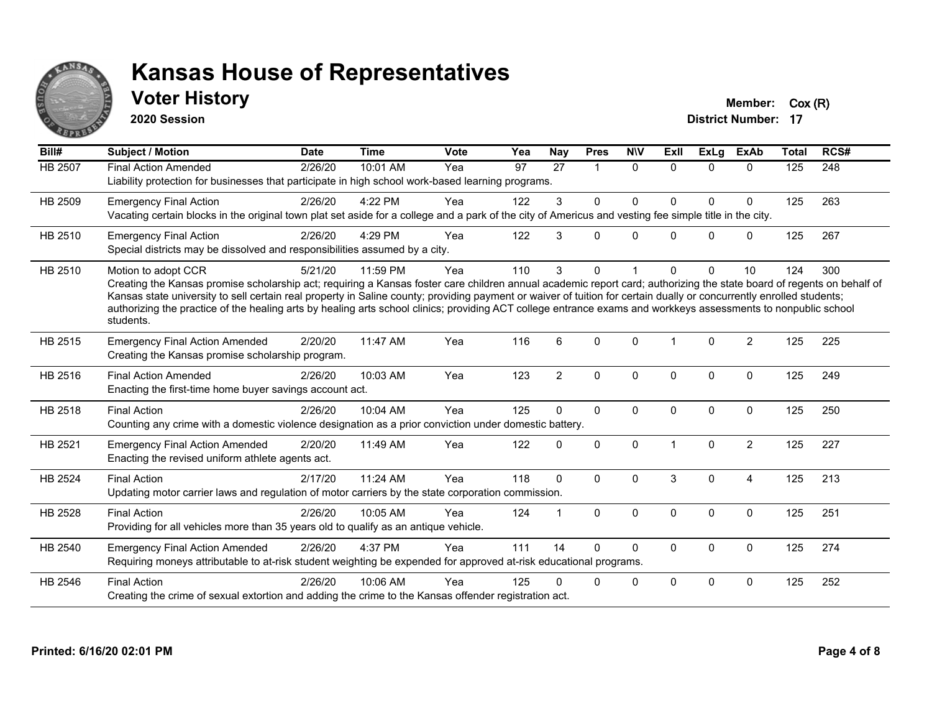

### **Voter History Member:**  $Cox(R)$

**2020 Session**

| Bill#          | <b>Subject / Motion</b>                                                                                                                                                                                                                                                                                                                                                                                                                                                                                                                             | <b>Date</b> | <b>Time</b> | <b>Vote</b> | Yea | <b>Nay</b>     | <b>Pres</b>  | <b>NIV</b>   | ExII                 | <b>ExLg</b> | <b>ExAb</b>    | <b>Total</b> | RCS# |
|----------------|-----------------------------------------------------------------------------------------------------------------------------------------------------------------------------------------------------------------------------------------------------------------------------------------------------------------------------------------------------------------------------------------------------------------------------------------------------------------------------------------------------------------------------------------------------|-------------|-------------|-------------|-----|----------------|--------------|--------------|----------------------|-------------|----------------|--------------|------|
| <b>HB 2507</b> | <b>Final Action Amended</b><br>Liability protection for businesses that participate in high school work-based learning programs.                                                                                                                                                                                                                                                                                                                                                                                                                    | 2/26/20     | 10:01 AM    | Yea         | 97  | 27             | 1            | $\Omega$     | $\Omega$             | $\Omega$    | $\Omega$       | 125          | 248  |
| HB 2509        | <b>Emergency Final Action</b><br>Vacating certain blocks in the original town plat set aside for a college and a park of the city of Americus and vesting fee simple title in the city.                                                                                                                                                                                                                                                                                                                                                             | 2/26/20     | 4:22 PM     | Yea         | 122 | 3              | $\mathbf{0}$ | $\Omega$     | $\Omega$             | $\Omega$    | $\mathbf 0$    | 125          | 263  |
| HB 2510        | <b>Emergency Final Action</b><br>Special districts may be dissolved and responsibilities assumed by a city.                                                                                                                                                                                                                                                                                                                                                                                                                                         | 2/26/20     | 4:29 PM     | Yea         | 122 | 3              | $\Omega$     | $\Omega$     | 0                    | $\Omega$    | $\mathbf 0$    | 125          | 267  |
| HB 2510        | Motion to adopt CCR<br>Creating the Kansas promise scholarship act; requiring a Kansas foster care children annual academic report card; authorizing the state board of regents on behalf of<br>Kansas state university to sell certain real property in Saline county; providing payment or waiver of tuition for certain dually or concurrently enrolled students;<br>authorizing the practice of the healing arts by healing arts school clinics; providing ACT college entrance exams and workkeys assessments to nonpublic school<br>students. | 5/21/20     | 11:59 PM    | Yea         | 110 | 3              | $\Omega$     |              | <sup>0</sup>         | $\Omega$    | 10             | 124          | 300  |
| HB 2515        | <b>Emergency Final Action Amended</b><br>Creating the Kansas promise scholarship program.                                                                                                                                                                                                                                                                                                                                                                                                                                                           | 2/20/20     | 11:47 AM    | Yea         | 116 | 6              | $\Omega$     | $\Omega$     | 1                    | $\Omega$    | $\overline{2}$ | 125          | 225  |
| HB 2516        | <b>Final Action Amended</b><br>Enacting the first-time home buyer savings account act.                                                                                                                                                                                                                                                                                                                                                                                                                                                              | 2/26/20     | 10:03 AM    | Yea         | 123 | $\overline{2}$ | $\mathbf 0$  | $\mathbf 0$  | $\mathbf{0}$         | 0           | $\mathbf 0$    | 125          | 249  |
| HB 2518        | <b>Final Action</b><br>Counting any crime with a domestic violence designation as a prior conviction under domestic battery.                                                                                                                                                                                                                                                                                                                                                                                                                        | 2/26/20     | 10:04 AM    | Yea         | 125 | $\Omega$       | $\mathbf 0$  | $\Omega$     | $\mathbf{0}$         | 0           | $\mathbf 0$    | 125          | 250  |
| HB 2521        | <b>Emergency Final Action Amended</b><br>Enacting the revised uniform athlete agents act.                                                                                                                                                                                                                                                                                                                                                                                                                                                           | 2/20/20     | 11:49 AM    | Yea         | 122 | $\Omega$       | $\mathbf 0$  | $\Omega$     | $\blacktriangleleft$ | $\Omega$    | $\overline{2}$ | 125          | 227  |
| <b>HB 2524</b> | <b>Final Action</b><br>Updating motor carrier laws and regulation of motor carriers by the state corporation commission.                                                                                                                                                                                                                                                                                                                                                                                                                            | 2/17/20     | 11:24 AM    | Yea         | 118 | $\mathbf{0}$   | $\Omega$     | $\Omega$     | 3                    | $\Omega$    | $\overline{4}$ | 125          | 213  |
| HB 2528        | <b>Final Action</b><br>Providing for all vehicles more than 35 years old to qualify as an antique vehicle.                                                                                                                                                                                                                                                                                                                                                                                                                                          | 2/26/20     | 10:05 AM    | Yea         | 124 |                | $\mathbf 0$  | $\mathbf{0}$ | $\Omega$             | $\Omega$    | $\mathbf 0$    | 125          | 251  |
| HB 2540        | <b>Emergency Final Action Amended</b><br>Requiring moneys attributable to at-risk student weighting be expended for approved at-risk educational programs.                                                                                                                                                                                                                                                                                                                                                                                          | 2/26/20     | 4:37 PM     | Yea         | 111 | 14             | $\Omega$     | $\Omega$     | 0                    | $\Omega$    | $\mathbf 0$    | 125          | 274  |
| HB 2546        | <b>Final Action</b><br>Creating the crime of sexual extortion and adding the crime to the Kansas offender registration act.                                                                                                                                                                                                                                                                                                                                                                                                                         | 2/26/20     | 10:06 AM    | Yea         | 125 |                | 0            | $\mathbf 0$  | $\Omega$             | $\Omega$    | $\mathbf 0$    | 125          | 252  |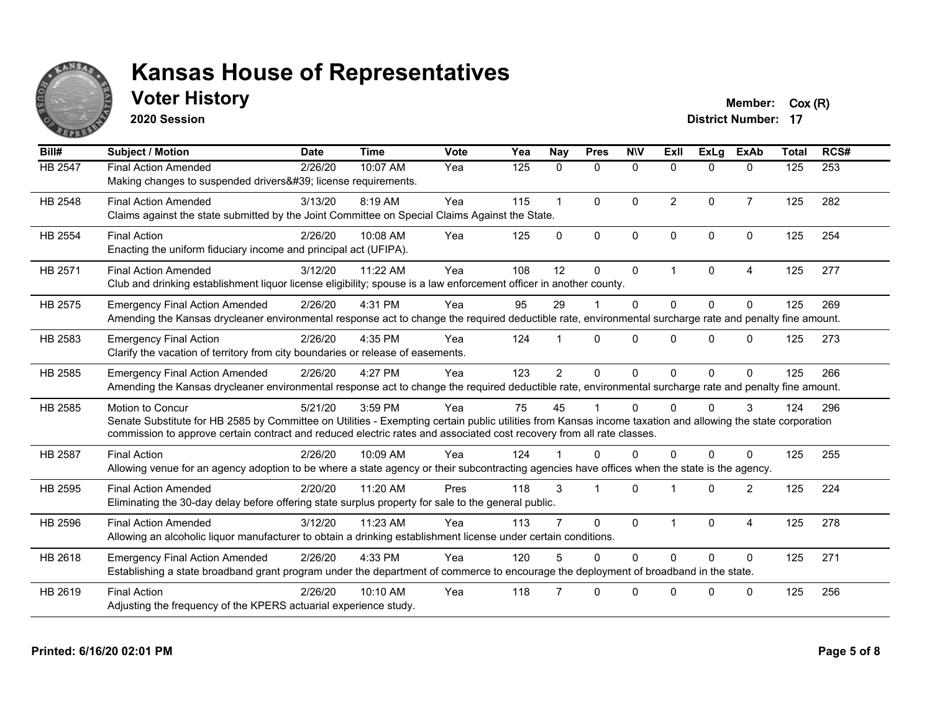

### **Voter History Member:**  $Cox(R)$

**2020 Session**

| Bill#          | <b>Subject / Motion</b>                                                                                                                                                                                                                                                                                         | <b>Date</b> | <b>Time</b> | Vote | Yea | <b>Nay</b>           | <b>Pres</b>  | <b>NIV</b>   | ExII           | ExLg         | <b>ExAb</b>    | <b>Total</b> | RCS# |
|----------------|-----------------------------------------------------------------------------------------------------------------------------------------------------------------------------------------------------------------------------------------------------------------------------------------------------------------|-------------|-------------|------|-----|----------------------|--------------|--------------|----------------|--------------|----------------|--------------|------|
| HB 2547        | <b>Final Action Amended</b><br>Making changes to suspended drivers' license requirements.                                                                                                                                                                                                                       | 2/26/20     | 10:07 AM    | Yea  | 125 | $\mathbf{0}$         | 0            | $\mathbf 0$  | $\Omega$       | $\Omega$     | $\mathbf{0}$   | 125          | 253  |
| HB 2548        | <b>Final Action Amended</b><br>Claims against the state submitted by the Joint Committee on Special Claims Against the State.                                                                                                                                                                                   | 3/13/20     | 8:19 AM     | Yea  | 115 | $\blacktriangleleft$ | $\mathbf{0}$ | $\Omega$     | $\overline{2}$ | $\Omega$     | $\overline{7}$ | 125          | 282  |
| HB 2554        | <b>Final Action</b><br>Enacting the uniform fiduciary income and principal act (UFIPA).                                                                                                                                                                                                                         | 2/26/20     | 10:08 AM    | Yea  | 125 | $\Omega$             | $\mathbf{0}$ | $\mathbf{0}$ | $\Omega$       | $\Omega$     | $\Omega$       | 125          | 254  |
| HB 2571        | <b>Final Action Amended</b><br>Club and drinking establishment liquor license eligibility; spouse is a law enforcement officer in another county.                                                                                                                                                               | 3/12/20     | 11:22 AM    | Yea  | 108 | 12                   | $\Omega$     | $\mathbf 0$  | 1              | $\Omega$     | 4              | 125          | 277  |
| HB 2575        | <b>Emergency Final Action Amended</b><br>Amending the Kansas drycleaner environmental response act to change the required deductible rate, environmental surcharge rate and penalty fine amount.                                                                                                                | 2/26/20     | 4:31 PM     | Yea  | 95  | 29                   |              | $\Omega$     | $\Omega$       | $\Omega$     | $\Omega$       | 125          | 269  |
| HB 2583        | <b>Emergency Final Action</b><br>Clarify the vacation of territory from city boundaries or release of easements.                                                                                                                                                                                                | 2/26/20     | 4:35 PM     | Yea  | 124 |                      | $\Omega$     | $\Omega$     | $\Omega$       | $\Omega$     | $\Omega$       | 125          | 273  |
| HB 2585        | <b>Emergency Final Action Amended</b><br>Amending the Kansas drycleaner environmental response act to change the required deductible rate, environmental surcharge rate and penalty fine amount.                                                                                                                | 2/26/20     | 4:27 PM     | Yea  | 123 | $\overline{2}$       | $\Omega$     | $\Omega$     | $\Omega$       | $\Omega$     | $\Omega$       | 125          | 266  |
| HB 2585        | <b>Motion to Concur</b><br>Senate Substitute for HB 2585 by Committee on Utilities - Exempting certain public utilities from Kansas income taxation and allowing the state corporation<br>commission to approve certain contract and reduced electric rates and associated cost recovery from all rate classes. | 5/21/20     | 3:59 PM     | Yea  | 75  | 45                   |              | $\Omega$     | 0              | <sup>0</sup> | 3              | 124          | 296  |
| <b>HB 2587</b> | <b>Final Action</b><br>Allowing venue for an agency adoption to be where a state agency or their subcontracting agencies have offices when the state is the agency.                                                                                                                                             | 2/26/20     | 10:09 AM    | Yea  | 124 |                      | $\Omega$     | $\Omega$     | $\Omega$       | $\Omega$     | $\Omega$       | 125          | 255  |
| HB 2595        | <b>Final Action Amended</b><br>Eliminating the 30-day delay before offering state surplus property for sale to the general public.                                                                                                                                                                              | 2/20/20     | 11:20 AM    | Pres | 118 | 3                    |              | $\Omega$     |                | $\Omega$     | $\overline{2}$ | 125          | 224  |
| HB 2596        | <b>Final Action Amended</b><br>Allowing an alcoholic liquor manufacturer to obtain a drinking establishment license under certain conditions.                                                                                                                                                                   | 3/12/20     | 11:23 AM    | Yea  | 113 |                      | $\mathbf{0}$ | $\mathbf{0}$ |                | $\Omega$     | 4              | 125          | 278  |
| HB 2618        | <b>Emergency Final Action Amended</b><br>Establishing a state broadband grant program under the department of commerce to encourage the deployment of broadband in the state.                                                                                                                                   | 2/26/20     | 4:33 PM     | Yea  | 120 |                      | $\Omega$     | $\Omega$     | $\Omega$       | $\Omega$     | $\Omega$       | 125          | 271  |
| HB 2619        | <b>Final Action</b><br>Adjusting the frequency of the KPERS actuarial experience study.                                                                                                                                                                                                                         | 2/26/20     | 10:10 AM    | Yea  | 118 |                      | $\Omega$     | $\Omega$     | U              | <sup>n</sup> | $\Omega$       | 125          | 256  |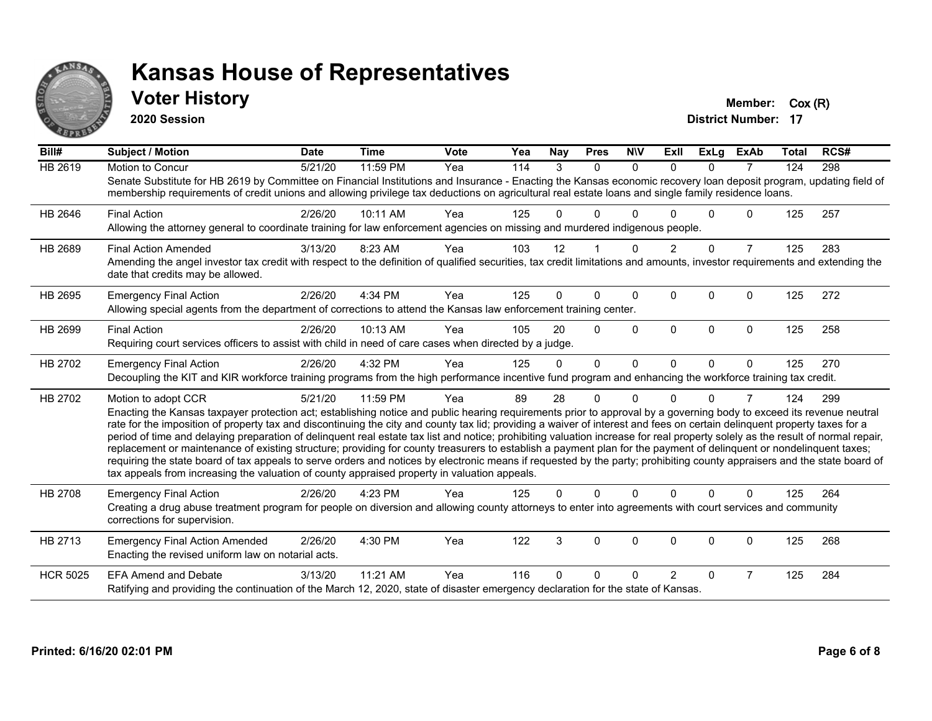

#### **Voter History Member:**  $Cox(R)$

**2020 Session**

| Bill#           | <b>Subject / Motion</b>                                                                                                                                                                                                                                                                                                                                     | <b>Date</b> | <b>Time</b> | <b>Vote</b> | Yea | <b>Nay</b> | <b>Pres</b> | <b>NIV</b> | ExII           | <b>ExLa</b> | <b>ExAb</b>    | <b>Total</b> | RCS# |
|-----------------|-------------------------------------------------------------------------------------------------------------------------------------------------------------------------------------------------------------------------------------------------------------------------------------------------------------------------------------------------------------|-------------|-------------|-------------|-----|------------|-------------|------------|----------------|-------------|----------------|--------------|------|
| <b>HB 2619</b>  | Motion to Concur                                                                                                                                                                                                                                                                                                                                            | 5/21/20     | 11:59 PM    | Yea         | 114 | 3          | $\Omega$    | $\Omega$   | $\Omega$       | $\Omega$    | 7              | 124          | 298  |
|                 | Senate Substitute for HB 2619 by Committee on Financial Institutions and Insurance - Enacting the Kansas economic recovery loan deposit program, updating field of<br>membership requirements of credit unions and allowing privilege tax deductions on agricultural real estate loans and single family residence loans.                                   |             |             |             |     |            |             |            |                |             |                |              |      |
| HB 2646         | <b>Final Action</b>                                                                                                                                                                                                                                                                                                                                         | 2/26/20     | 10:11 AM    | Yea         | 125 | U          | $\Omega$    |            |                | 0           | $\Omega$       | 125          | 257  |
|                 | Allowing the attorney general to coordinate training for law enforcement agencies on missing and murdered indigenous people.                                                                                                                                                                                                                                |             |             |             |     |            |             |            |                |             |                |              |      |
| HB 2689         | <b>Final Action Amended</b>                                                                                                                                                                                                                                                                                                                                 | 3/13/20     | 8:23 AM     | Yea         | 103 | 12         |             | $\Omega$   | $\overline{2}$ | $\Omega$    | $\overline{7}$ | 125          | 283  |
|                 | Amending the angel investor tax credit with respect to the definition of qualified securities, tax credit limitations and amounts, investor requirements and extending the<br>date that credits may be allowed.                                                                                                                                             |             |             |             |     |            |             |            |                |             |                |              |      |
| HB 2695         | <b>Emergency Final Action</b>                                                                                                                                                                                                                                                                                                                               | 2/26/20     | 4:34 PM     | Yea         | 125 | 0          | 0           | $\Omega$   | $\Omega$       | $\Omega$    | 0              | 125          | 272  |
|                 | Allowing special agents from the department of corrections to attend the Kansas law enforcement training center.                                                                                                                                                                                                                                            |             |             |             |     |            |             |            |                |             |                |              |      |
| HB 2699         | <b>Final Action</b>                                                                                                                                                                                                                                                                                                                                         | 2/26/20     | 10:13 AM    | Yea         | 105 | 20         | $\Omega$    | $\Omega$   | $\Omega$       | $\Omega$    | $\Omega$       | 125          | 258  |
|                 | Requiring court services officers to assist with child in need of care cases when directed by a judge.                                                                                                                                                                                                                                                      |             |             |             |     |            |             |            |                |             |                |              |      |
| HB 2702         | <b>Emergency Final Action</b>                                                                                                                                                                                                                                                                                                                               | 2/26/20     | 4:32 PM     | Yea         | 125 | $\Omega$   | $\Omega$    | $\Omega$   | $\Omega$       | $\Omega$    | $\Omega$       | 125          | 270  |
|                 | Decoupling the KIT and KIR workforce training programs from the high performance incentive fund program and enhancing the workforce training tax credit.                                                                                                                                                                                                    |             |             |             |     |            |             |            |                |             |                |              |      |
| HB 2702         | Motion to adopt CCR                                                                                                                                                                                                                                                                                                                                         | 5/21/20     | 11:59 PM    | Yea         | 89  | 28         | 0           | ∩          |                | 0           | 7              | 124          | 299  |
|                 | Enacting the Kansas taxpayer protection act; establishing notice and public hearing requirements prior to approval by a governing body to exceed its revenue neutral                                                                                                                                                                                        |             |             |             |     |            |             |            |                |             |                |              |      |
|                 | rate for the imposition of property tax and discontinuing the city and county tax lid; providing a waiver of interest and fees on certain delinquent property taxes for a<br>period of time and delaying preparation of delinquent real estate tax list and notice; prohibiting valuation increase for real property solely as the result of normal repair, |             |             |             |     |            |             |            |                |             |                |              |      |
|                 | replacement or maintenance of existing structure; providing for county treasurers to establish a payment plan for the payment of delinquent or nondelinquent taxes;                                                                                                                                                                                         |             |             |             |     |            |             |            |                |             |                |              |      |
|                 | requiring the state board of tax appeals to serve orders and notices by electronic means if requested by the party; prohibiting county appraisers and the state board of                                                                                                                                                                                    |             |             |             |     |            |             |            |                |             |                |              |      |
|                 | tax appeals from increasing the valuation of county appraised property in valuation appeals.                                                                                                                                                                                                                                                                |             |             |             |     |            |             |            |                |             |                |              |      |
| <b>HB 2708</b>  | <b>Emergency Final Action</b>                                                                                                                                                                                                                                                                                                                               | 2/26/20     | 4:23 PM     | Yea         | 125 | 0          | $\Omega$    | $\Omega$   | $\Omega$       | $\Omega$    | $\Omega$       | 125          | 264  |
|                 | Creating a drug abuse treatment program for people on diversion and allowing county attorneys to enter into agreements with court services and community<br>corrections for supervision.                                                                                                                                                                    |             |             |             |     |            |             |            |                |             |                |              |      |
| HB 2713         | <b>Emergency Final Action Amended</b>                                                                                                                                                                                                                                                                                                                       | 2/26/20     | 4:30 PM     | Yea         | 122 | 3          | $\Omega$    | $\Omega$   | $\Omega$       | $\Omega$    | 0              | 125          | 268  |
|                 | Enacting the revised uniform law on notarial acts.                                                                                                                                                                                                                                                                                                          |             |             |             |     |            |             |            |                |             |                |              |      |
| <b>HCR 5025</b> | <b>EFA Amend and Debate</b>                                                                                                                                                                                                                                                                                                                                 | 3/13/20     | 11:21 AM    | Yea         | 116 | U          | 0           |            | 2              | 0           | 7              | 125          | 284  |
|                 | Ratifying and providing the continuation of the March 12, 2020, state of disaster emergency declaration for the state of Kansas.                                                                                                                                                                                                                            |             |             |             |     |            |             |            |                |             |                |              |      |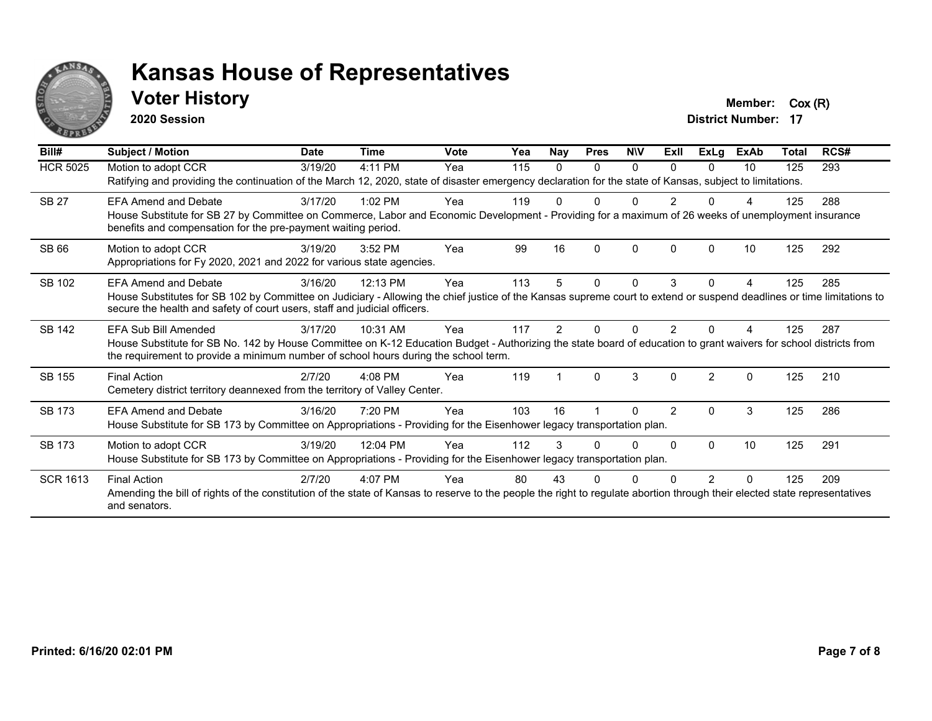

#### **Voter History Member:** Cox (R)

**2020 Session**

| Bill#           | <b>Subject / Motion</b>                                                                                                                                                                                                                                                           | <b>Date</b> | <b>Time</b> | <b>Vote</b> | Yea | Nay | <b>Pres</b>  | <b>NIV</b> | ExII           | ExLg           | <b>ExAb</b> | <b>Total</b> | RCS# |
|-----------------|-----------------------------------------------------------------------------------------------------------------------------------------------------------------------------------------------------------------------------------------------------------------------------------|-------------|-------------|-------------|-----|-----|--------------|------------|----------------|----------------|-------------|--------------|------|
| <b>HCR 5025</b> | Motion to adopt CCR<br>Ratifying and providing the continuation of the March 12, 2020, state of disaster emergency declaration for the state of Kansas, subject to limitations.                                                                                                   | 3/19/20     | 4:11 PM     | Yea         | 115 | 0   | 0            | $\Omega$   | $\Omega$       | 0              | 10          | 125          | 293  |
| <b>SB 27</b>    | <b>EFA Amend and Debate</b><br>House Substitute for SB 27 by Committee on Commerce, Labor and Economic Development - Providing for a maximum of 26 weeks of unemployment insurance<br>benefits and compensation for the pre-payment waiting period.                               | 3/17/20     | $1:02$ PM   | Yea         | 119 |     |              |            |                |                |             | 125          | 288  |
| SB 66           | Motion to adopt CCR<br>Appropriations for Fy 2020, 2021 and 2022 for various state agencies.                                                                                                                                                                                      | 3/19/20     | $3:52$ PM   | Yea         | 99  | 16  | $\Omega$     | $\Omega$   | $\Omega$       | O              | 10          | 125          | 292  |
| SB 102          | <b>EFA Amend and Debate</b><br>House Substitutes for SB 102 by Committee on Judiciary - Allowing the chief justice of the Kansas supreme court to extend or suspend deadlines or time limitations to<br>secure the health and safety of court users, staff and judicial officers. | 3/16/20     | 12:13 PM    | Yea         | 113 |     | $\mathbf{0}$ | 0          | 3              | 0              |             | 125          | 285  |
| SB 142          | EFA Sub Bill Amended<br>House Substitute for SB No. 142 by House Committee on K-12 Education Budget - Authorizing the state board of education to grant waivers for school districts from<br>the requirement to provide a minimum number of school hours during the school term.  | 3/17/20     | 10:31 AM    | Yea         | 117 | 2   |              | O          |                |                |             | 125          | 287  |
| SB 155          | <b>Final Action</b><br>Cemetery district territory deannexed from the territory of Valley Center.                                                                                                                                                                                 | 2/7/20      | $4:08$ PM   | Yea         | 119 |     | $\Omega$     | 3          | $\Omega$       | $\mathfrak{p}$ | $\Omega$    | 125          | 210  |
| SB 173          | <b>EFA Amend and Debate</b><br>House Substitute for SB 173 by Committee on Appropriations - Providing for the Eisenhower legacy transportation plan.                                                                                                                              | 3/16/20     | 7:20 PM     | Yea         | 103 | 16  |              | U          | $\overline{2}$ | $\Omega$       | 3           | 125          | 286  |
| SB 173          | Motion to adopt CCR<br>House Substitute for SB 173 by Committee on Appropriations - Providing for the Eisenhower legacy transportation plan.                                                                                                                                      | 3/19/20     | 12:04 PM    | Yea         | 112 | 3   |              | 0          | 0              | $\Omega$       | 10          | 125          | 291  |
| <b>SCR 1613</b> | <b>Final Action</b><br>Amending the bill of rights of the constitution of the state of Kansas to reserve to the people the right to regulate abortion through their elected state representatives<br>and senators.                                                                | 2/7/20      | 4:07 PM     | Yea         | 80  | 43  |              |            |                | 2              |             | 125          | 209  |